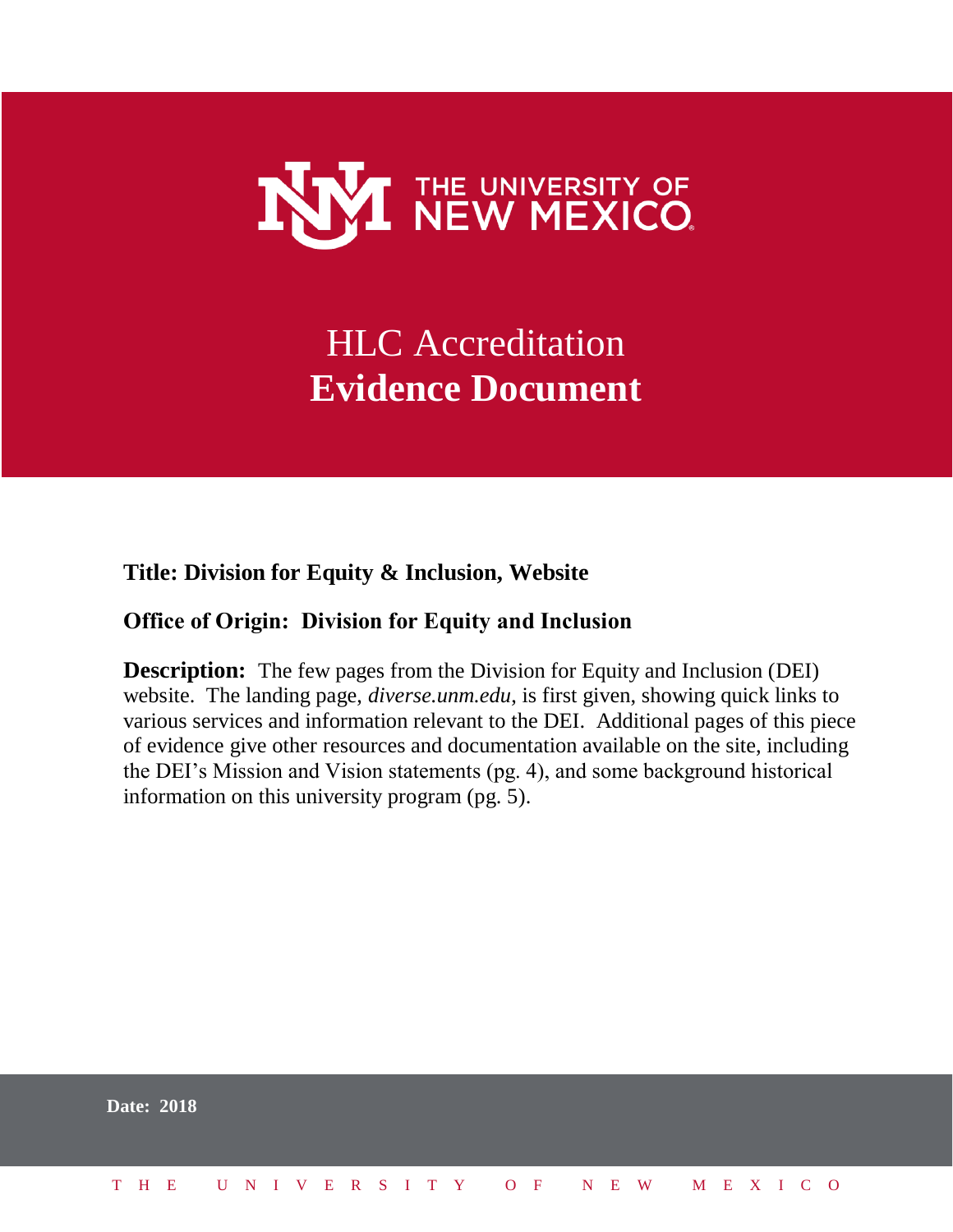

# HLC Accreditation **Evidence Document**

## **Title: Division for Equity & Inclusion, Website**

## **Office of Origin: Division for Equity and Inclusion**

**Description:** The few pages from the Division for Equity and Inclusion (DEI) website. The landing page, *diverse.unm.edu*, is first given, showing quick links to various services and information relevant to the DEI. Additional pages of this piece of evidence give other resources and documentation available on the site, including the DEI's Mission and Vision statements (pg. 4), and some background historical information on this university program (pg. 5).

| <b>Date: 2018</b> |  |  |  |  |  |  |  |  |  |                          |  |  |  |  |
|-------------------|--|--|--|--|--|--|--|--|--|--------------------------|--|--|--|--|
| T H E             |  |  |  |  |  |  |  |  |  | UNIVERSITY OF NEW MEXICO |  |  |  |  |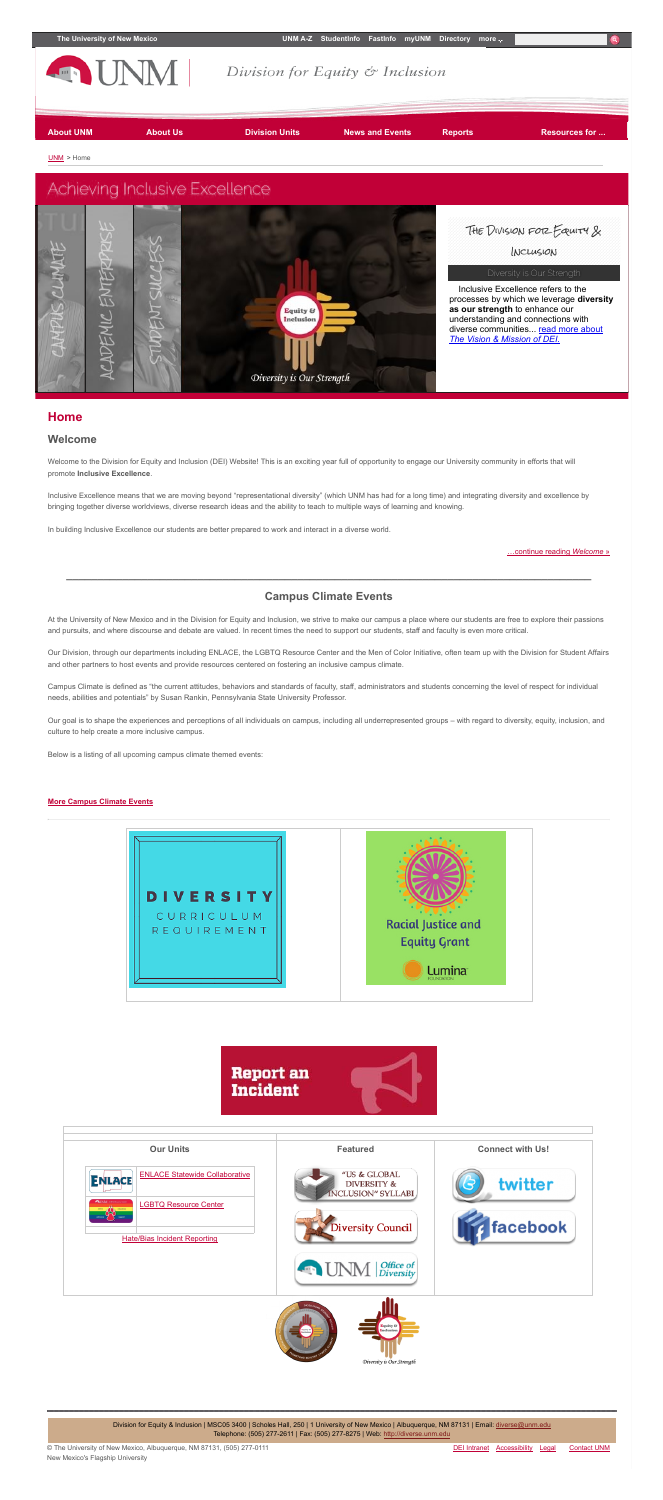

Welcome to the Division for Equity and Inclusion (DEI) Website! This is an exciting year full of opportunity to engage our University community in efforts that will promote **Inclusive Excellence**.

#### **Welcome**

Inclusive Excellence means that we are moving beyond "representational diversity" (which UNM has had for a long time) and integrating diversity and excellence by bringing together diverse worldviews, diverse research ideas and the ability to teach to multiple ways of learning and knowing.

In building Inclusive Excellence our students are better prepared to work and interact in a diverse world.

[…continue reading](http://diverse.unm.edu/about-dei/index.html) *Welcome* »

**\_\_\_\_\_\_\_\_\_\_\_\_\_\_\_\_\_\_\_\_\_\_\_\_\_\_\_\_\_\_\_\_\_\_\_\_\_\_\_\_\_\_\_\_\_\_\_\_\_\_\_\_\_\_\_\_\_\_\_\_\_\_\_\_\_\_\_\_\_\_\_\_\_\_\_\_\_\_\_\_\_\_\_\_**

#### **Campus Climate Events**

At the University of New Mexico and in the Division for Equity and Inclusion, we strive to make our campus a place where our students are free to explore their passions and pursuits, and where discourse and debate are valued. In recent times the need to support our students, staff and faculty is even more critical.

Our Division, through our departments including ENLACE, the LGBTQ Resource Center and the Men of Color Initiative, often team up with the Division for Student Affairs and other partners to host events and provide resources centered on fostering an inclusive campus climate.

Campus Climate is defined as "the current attitudes, behaviors and standards of faculty, staff, administrators and students concerning the level of respect for individual needs, abilities and potentials" by Susan Rankin, Pennsylvania State University Professor.

Our goal is to shape the experiences and perceptions of all individuals on campus, including all underrepresented groups – with regard to diversity, equity, inclusion, and culture to help create a more inclusive campus.

Below is a listing of all upcoming campus climate themed events:

#### **[More Campus Climate Events](https://unmevents.unm.edu/page/quicklinks/?id=5feaf72e-c4d5-4432-bffd-a8c121719616)**





© The University of New Mexico, Albuquerque, NM 87131, (505) 277-0111 New Mexico's Flagship University

DEI [Intranet](https://unmoei.podio.com/intranet/) [Accessibility](http://www.unm.edu/accessibility.html) [Legal](http://www.unm.edu/legal.html) [Contact](http://www.unm.edu/contactunm.html) UNM



Telephone: (505) 277-2611 | Fax: (505) 277-8275 | Web: [http://diverse.unm.edu](http://diverse.unm.edu/)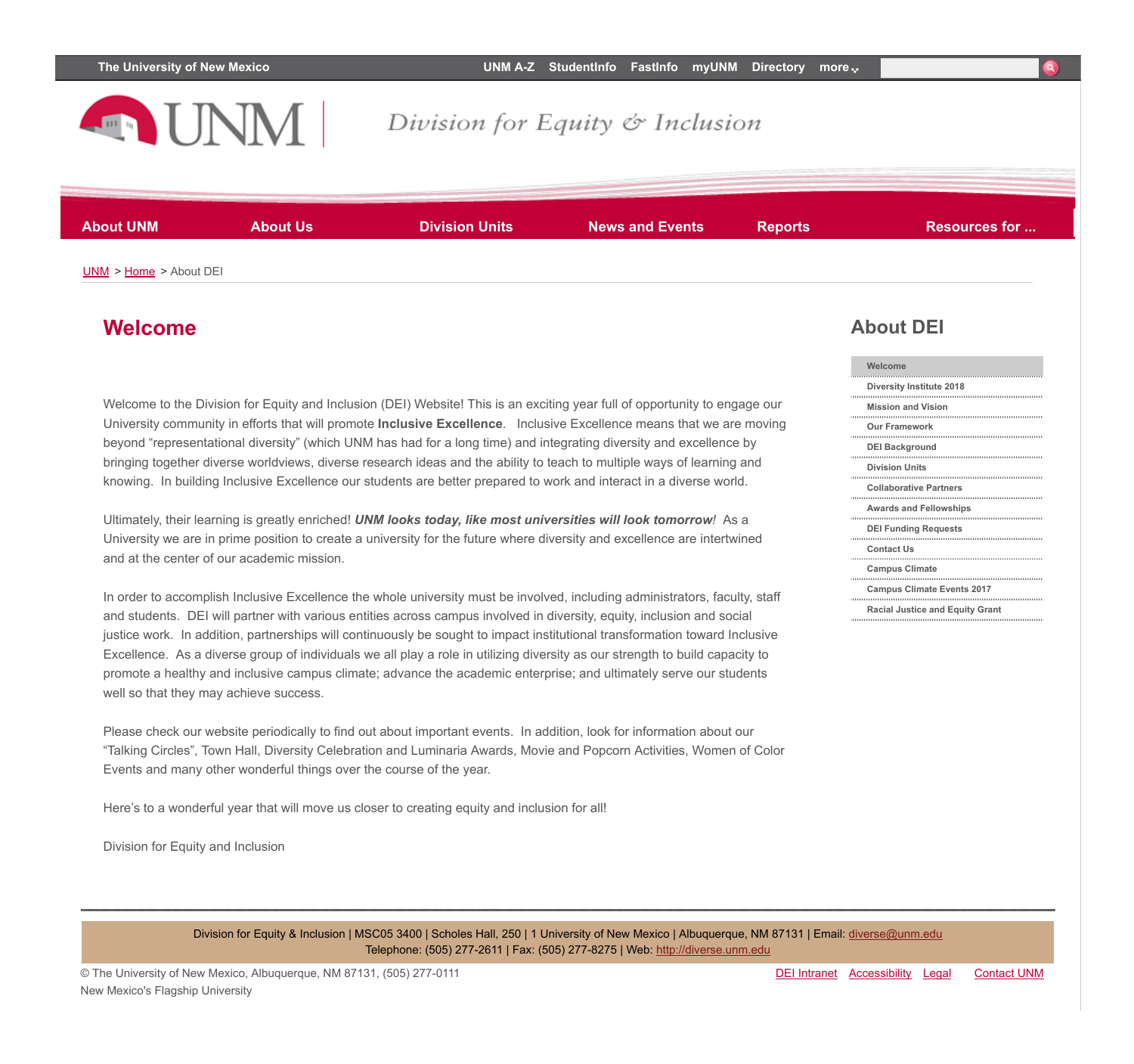

## Division for Equity & Inclusion

**About UNM About Us Division Units News and Events Reports Resources for ...**

[UNM](http://www.unm.edu/) > [Home](http://diverse.unm.edu/index.html) > About DEI

#### **Welcome**

Welcome to the Division for Equity and Inclusion (DEI) Website! This is an exciting year full of opportunity to engage our University community in efforts that will promote **Inclusive Excellence**. Inclusive Excellence means that we are moving beyond "representational diversity" (which UNM has had for a long time) and integrating diversity and excellence by bringing together diverse worldviews, diverse research ideas and the ability to teach to multiple ways of learning and knowing. In building Inclusive Excellence our students are better prepared to work and interact in a diverse world.

Ultimately, their learning is greatly enriched! *UNM looks today, like most universities will look tomorrow!* As a University we are in prime position to create a university for the future where diversity and excellence are intertwined and at the center of our academic mission.

In order to accomplish Inclusive Excellence the whole university must be involved, including administrators, faculty, staff and students. DEI will partner with various entities across campus involved in diversity, equity, inclusion and social justice work. In addition, partnerships will continuously be sought to impact institutional transformation toward Inclusive Excellence. As a diverse group of individuals we all play a role in utilizing diversity as our strength to build capacity to promote a healthy and inclusive campus climate; advance the academic enterprise; and ultimately serve our students well so that they may achieve success.

Please check our website periodically to find out about important events. In addition, look for information about our "Talking Circles", Town Hall, Diversity Celebration and Luminaria Awards, Movie and Popcorn Activities, Women of Color Events and many other wonderful things over the course of the year.

Here's to a wonderful year that will move us closer to creating equity and inclusion for all!

Division for Equity and Inclusion

#### **About DEI**

| Welcome                                |
|----------------------------------------|
| Diversity Institute 2018               |
| <b>Mission and Vision</b>              |
| <b>Our Framework</b>                   |
| <b>DEI Background</b>                  |
| <b>Division Units</b>                  |
| <b>Collaborative Partners</b>          |
| <b>Awards and Fellowships</b>          |
| <b>DEI Funding Requests</b>            |
| <b>Contact Us</b>                      |
| <b>Campus Climate</b>                  |
| <b>Campus Climate Events 2017</b>      |
| <b>Racial Justice and Equity Grant</b> |

Division for Equity & Inclusion | MSC05 3400 | Scholes Hall, 250 | 1 University of New Mexico | Albuquerque, NM 87131 | Email: [diverse@unm.edu](mailto:diverse@unm.edu) Telephone: (505) 277-2611 | Fax: (505) 277-8275 | Web: [http://diverse.unm.edu](http://diverse.unm.edu/)

© The University of New Mexico, Albuquerque, NM 87131, (505) 277-0111 New Mexico's Flagship University

DEI [Intranet](https://unmoei.podio.com/intranet/) [Accessibility](http://www.unm.edu/accessibility.html) [Legal](http://www.unm.edu/legal.html) [Contact](http://www.unm.edu/contactunm.html) UNM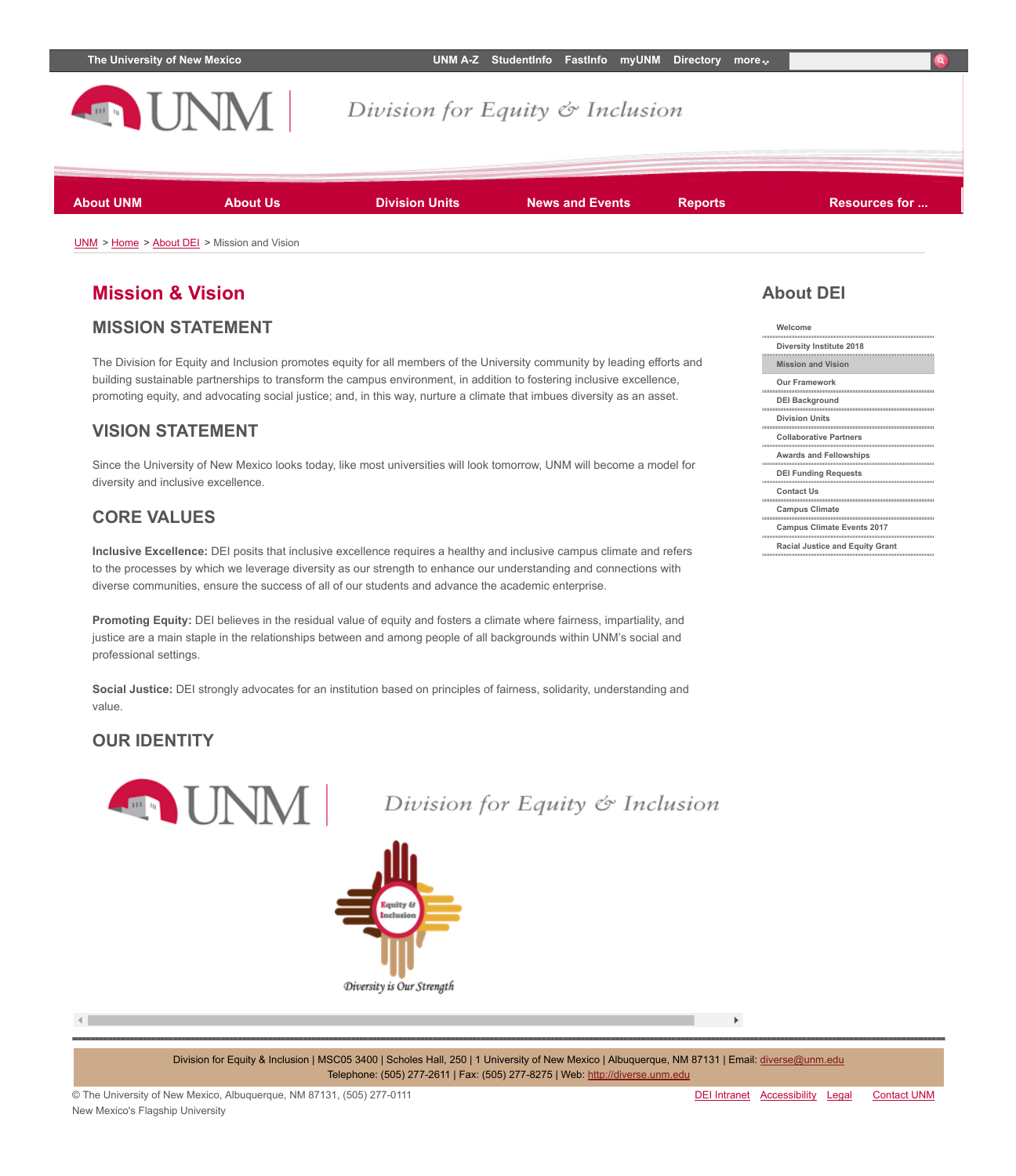

### **Mission & Vision**

#### **MISSION STATEMENT**

The Division for Equity and Inclusion promotes equity for all members of the University community by leading efforts and building sustainable partnerships to transform the campus environment, in addition to fostering inclusive excellence, promoting equity, and advocating social justice; and, in this way, nurture a climate that imbues diversity as an asset.

#### **VISION STATEMENT**

Since the University of New Mexico looks today, like most universities will look tomorrow, UNM will become a model for diversity and inclusive excellence.

#### **CORE VALUES**

**Inclusive Excellence:** DEI posits that inclusive excellence requires a healthy and inclusive campus climate and refers to the processes by which we leverage diversity as our strength to enhance our understanding and connections with diverse communities, ensure the success of all of our students and advance the academic enterprise.

**Promoting Equity:** DEI believes in the residual value of equity and fosters a climate where fairness, impartiality, and justice are a main staple in the relationships between and among people of all backgrounds within UNM's social and professional settings.

**Social Justice:** DEI strongly advocates for an institution based on principles of fairness, solidarity, understanding and value.

#### **OUR IDENTITY**



Division for Equity & Inclusion



 $\left| \cdot \right|$ 

Division for Equity & Inclusion | MSC05 3400 | Scholes Hall, 250 | 1 University of New Mexico | Albuquerque, NM 87131 | Email: [diverse@unm.edu](mailto:diverse@unm.edu) Telephone: (505) 277-2611 | Fax: (505) 277-8275 | Web: [http://diverse.unm.edu](http://diverse.unm.edu/)

 $\mathbf{F}$ 

## **About DEI**

| Welcome                                |
|----------------------------------------|
| <b>Diversity Institute 2018</b>        |
| <b>Mission and Vision</b>              |
| <b>Our Framework</b>                   |
| <b>DEI Background</b>                  |
| <b>Division Units</b>                  |
| <b>Collaborative Partners</b>          |
| <b>Awards and Fellowships</b>          |
| <b>DEI Funding Requests</b>            |
| <b>Contact Us</b>                      |
| <b>Campus Climate</b>                  |
| <b>Campus Climate Events 2017</b>      |
| <b>Racial Justice and Equity Grant</b> |